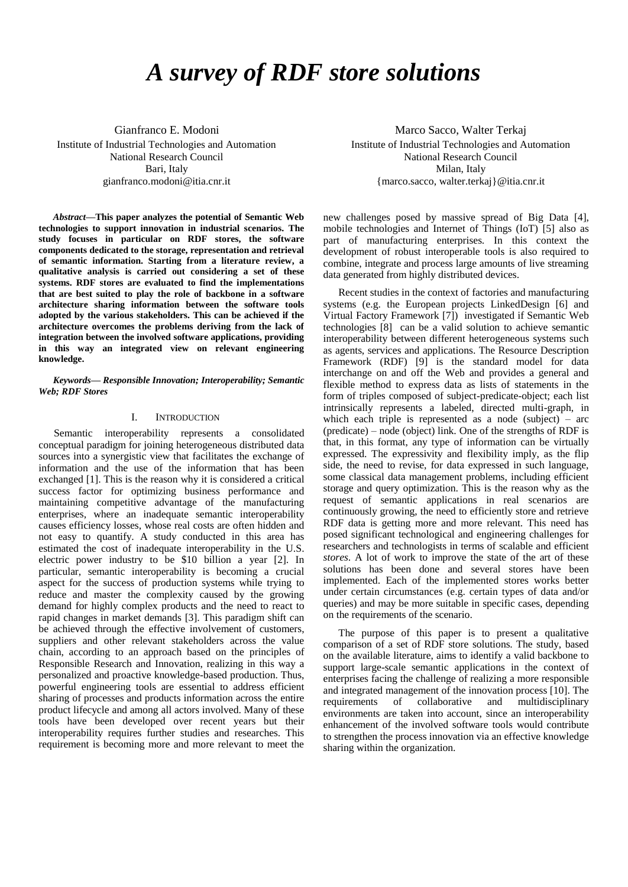# *A survey of RDF store solutions*

Gianfranco E. Modoni Institute of Industrial Technologies and Automation National Research Council Bari, Italy gianfranco.modoni@itia.cnr.it

*Abstract***—This paper analyzes the potential of Semantic Web technologies to support innovation in industrial scenarios. The study focuses in particular on RDF stores, the software components dedicated to the storage, representation and retrieval of semantic information. Starting from a literature review, a qualitative analysis is carried out considering a set of these systems. RDF stores are evaluated to find the implementations that are best suited to play the role of backbone in a software architecture sharing information between the software tools adopted by the various stakeholders. This can be achieved if the architecture overcomes the problems deriving from the lack of integration between the involved software applications, providing in this way an integrated view on relevant engineering knowledge.**

*Keywords— Responsible Innovation; Interoperability; Semantic Web; RDF Stores*

## I. INTRODUCTION

Semantic interoperability represents a consolidated conceptual paradigm for joining heterogeneous distributed data sources into a synergistic view that facilitates the exchange of information and the use of the information that has been exchanged [1]. This is the reason why it is considered a critical success factor for optimizing business performance and maintaining competitive advantage of the manufacturing enterprises, where an inadequate semantic interoperability causes efficiency losses, whose real costs are often hidden and not easy to quantify. A study conducted in this area has estimated the cost of inadequate interoperability in the U.S. electric power industry to be \$10 billion a year [2]. In particular, semantic interoperability is becoming a crucial aspect for the success of production systems while trying to reduce and master the complexity caused by the growing demand for highly complex products and the need to react to rapid changes in market demands [3]. This paradigm shift can be achieved through the effective involvement of customers, suppliers and other relevant stakeholders across the value chain, according to an approach based on the principles of Responsible Research and Innovation, realizing in this way a personalized and proactive knowledge-based production. Thus, powerful engineering tools are essential to address efficient sharing of processes and products information across the entire product lifecycle and among all actors involved. Many of these tools have been developed over recent years but their interoperability requires further studies and researches. This requirement is becoming more and more relevant to meet the

Marco Sacco, Walter Terkaj Institute of Industrial Technologies and Automation National Research Council Milan, Italy {marco.sacco, walter.terkaj}@itia.cnr.it

new challenges posed by massive spread of Big Data [4], mobile technologies and Internet of Things (IoT) [5] also as part of manufacturing enterprises. In this context the development of robust interoperable tools is also required to combine, integrate and process large amounts of live streaming data generated from highly distributed devices.

Recent studies in the context of factories and manufacturing systems (e.g. the European projects LinkedDesign [6] and Virtual Factory Framework [7]) investigated if Semantic Web technologies [8] can be a valid solution to achieve semantic interoperability between different heterogeneous systems such as agents, services and applications. The Resource Description Framework (RDF) [9] is the standard model for data interchange on and off the Web and provides a general and flexible method to express data as lists of statements in the form of triples composed of subject-predicate-object; each list intrinsically represents a labeled, directed multi-graph, in which each triple is represented as a node (subject) – arc (predicate) – node (object) link. One of the strengths of RDF is that, in this format, any type of information can be virtually expressed. The expressivity and flexibility imply, as the flip side, the need to revise, for data expressed in such language, some classical data management problems, including efficient storage and query optimization. This is the reason why as the request of semantic applications in real scenarios are continuously growing, the need to efficiently store and retrieve RDF data is getting more and more relevant. This need has posed significant technological and engineering challenges for researchers and technologists in terms of scalable and efficient *stores*. A lot of work to improve the state of the art of these solutions has been done and several stores have been implemented. Each of the implemented stores works better under certain circumstances (e.g. certain types of data and/or queries) and may be more suitable in specific cases, depending on the requirements of the scenario.

The purpose of this paper is to present a qualitative comparison of a set of RDF store solutions. The study, based on the available literature, aims to identify a valid backbone to support large-scale semantic applications in the context of enterprises facing the challenge of realizing a more responsible and integrated management of the innovation process [10]. The requirements of collaborative and multidisciplinary environments are taken into account, since an interoperability enhancement of the involved software tools would contribute to strengthen the process innovation via an effective knowledge sharing within the organization.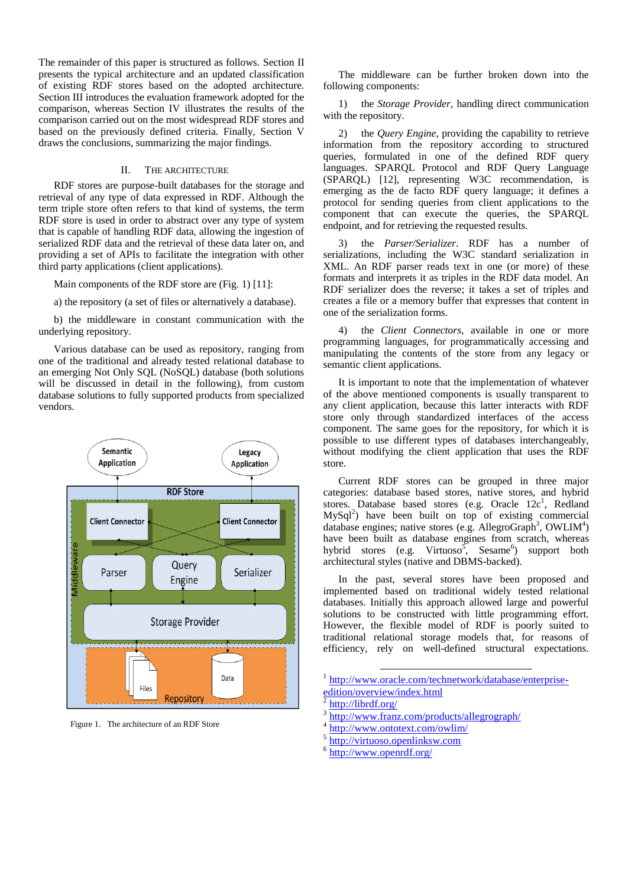The remainder of this paper is structured as follows. Section II presents the typical architecture and an updated classification of existing RDF stores based on the adopted architecture. Section III introduces the evaluation framework adopted for the comparison, whereas Section IV illustrates the results of the comparison carried out on the most widespread RDF stores and based on the previously defined criteria. Finally, Section V draws the conclusions, summarizing the major findings.

# II. THE ARCHITECTURE

RDF stores are purpose-built databases for the storage and retrieval of any type of data expressed in RDF. Although the term triple store often refers to that kind of systems, the term RDF store is used in order to abstract over any type of system that is capable of handling RDF data, allowing the ingestion of serialized RDF data and the retrieval of these data later on, and providing a set of APIs to facilitate the integration with other third party applications (client applications).

Main components of the RDF store are (Fig. 1) [11]:

a) the repository (a set of files or alternatively a database).

b) the middleware in constant communication with the underlying repository.

Various database can be used as repository, ranging from one of the traditional and already tested relational database to an emerging Not Only SQL (NoSQL) database (both solutions will be discussed in detail in the following), from custom database solutions to fully supported products from specialized vendors.



Figure 1. The architecture of an RDF Store

The middleware can be further broken down into the following components:

1) the *Storage Provider*, handling direct communication with the repository.

2) the *Query Engine*, providing the capability to retrieve information from the repository according to structured queries, formulated in one of the defined RDF query languages. SPARQL Protocol and RDF Query Language (SPARQL) [12], representing W3C recommendation, is emerging as the de facto RDF query language; it defines a protocol for sending queries from client applications to the component that can execute the queries, the SPARQL endpoint, and for retrieving the requested results.

3) the *Parser/Serializer*. RDF has a number of serializations, including the W3C standard serialization in XML. An RDF parser reads text in one (or more) of these formats and interprets it as triples in the RDF data model. An RDF serializer does the reverse; it takes a set of triples and creates a file or a memory buffer that expresses that content in one of the serialization forms.

4) the *Client Connectors*, available in one or more programming languages, for programmatically accessing and manipulating the contents of the store from any legacy or semantic client applications.

It is important to note that the implementation of whatever of the above mentioned components is usually transparent to any client application, because this latter interacts with RDF store only through standardized interfaces of the access component. The same goes for the repository, for which it is possible to use different types of databases interchangeably, without modifying the client application that uses the RDF store.

Current RDF stores can be grouped in three major categories: database based stores, native stores, and hybrid stores. Database based stores (e.g. Oracle  $12c<sup>1</sup>$ , Redland  $MySq<sup>2</sup>$  have been built on top of existing commercial database engines; native stores (e.g. AllegroGraph<sup>3</sup>, OWLIM<sup>4</sup>) have been built as database engines from scratch, whereas hybrid stores (e.g. Virtuoso<sup>5</sup>, Sesame<sup>6</sup>) support both architectural styles (native and DBMS-backed).

In the past, several stores have been proposed and implemented based on traditional widely tested relational databases. Initially this approach allowed large and powerful solutions to be constructed with little programming effort. However, the flexible model of RDF is poorly suited to traditional relational storage models that, for reasons of efficiency, rely on well-defined structural expectations.

1 [http://www.oracle.com/technetwork/database/enterprise-](http://www.oracle.com/technetwork/database/enterprise-edition/overview/index.html)

- 4 <http://www.ontotext.com/owlim/>
- 5 [http://virtuoso.openlinksw.com](http://virtuoso.openlinksw.com/)
- 6 <http://www.openrdf.org/>

1

[edition/overview/index.html](http://www.oracle.com/technetwork/database/enterprise-edition/overview/index.html)<br>2 http://librdf.org/ <http://librdf.org/>

<sup>3</sup> <http://www.franz.com/products/allegrograph/>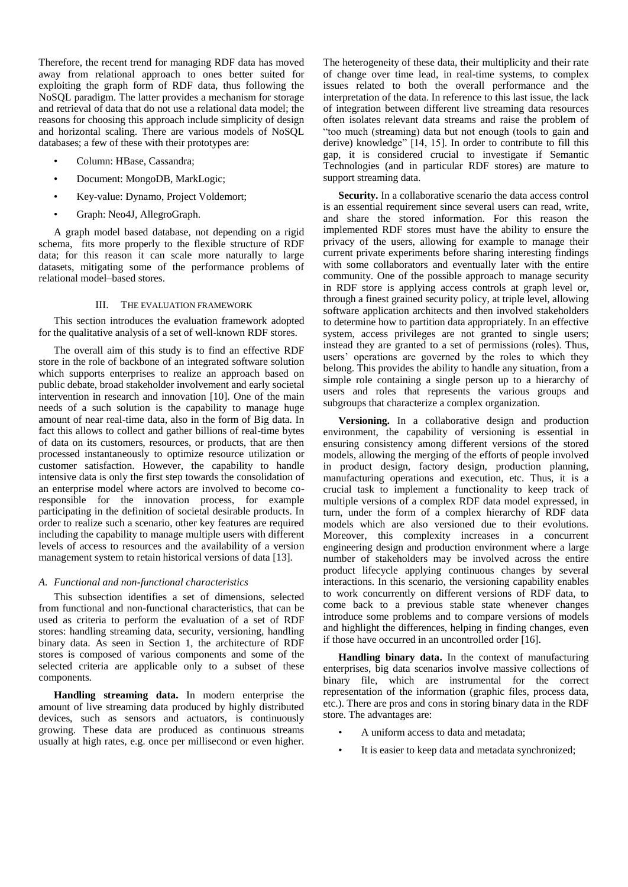Therefore, the recent trend for managing RDF data has moved away from relational approach to ones better suited for exploiting the graph form of RDF data, thus following the NoSQL paradigm. The latter provides a mechanism for storage and retrieval of data that do not use a relational data model; the reasons for choosing this approach include simplicity of design and horizontal scaling. There are various models of NoSQL databases; a few of these with their prototypes are:

- Column: HBase, Cassandra;
- Document: MongoDB, MarkLogic;
- Key-value: Dynamo, Project Voldemort;
- Graph: Neo4J, AllegroGraph.

A graph model based database, not depending on a rigid schema, fits more properly to the flexible structure of RDF data; for this reason it can scale more naturally to large datasets, mitigating some of the performance problems of relational model–based stores.

## III. THE EVALUATION FRAMEWORK

This section introduces the evaluation framework adopted for the qualitative analysis of a set of well-known RDF stores.

The overall aim of this study is to find an effective RDF store in the role of backbone of an integrated software solution which supports enterprises to realize an approach based on public debate, broad stakeholder involvement and early societal intervention in research and innovation [10]. One of the main needs of a such solution is the capability to manage huge amount of near real-time data, also in the form of Big data. In fact this allows to collect and gather billions of real-time bytes of data on its customers, resources, or products, that are then processed instantaneously to optimize resource utilization or customer satisfaction. However, the capability to handle intensive data is only the first step towards the consolidation of an enterprise model where actors are involved to become coresponsible for the innovation process, for example participating in the definition of societal desirable products. In order to realize such a scenario, other key features are required including the capability to manage multiple users with different levels of access to resources and the availability of a version management system to retain historical versions of data [13].

#### *A. Functional and non-functional characteristics*

This subsection identifies a set of dimensions, selected from functional and non-functional characteristics, that can be used as criteria to perform the evaluation of a set of RDF stores: handling streaming data, security, versioning, handling binary data. As seen in Section 1, the architecture of RDF stores is composed of various components and some of the selected criteria are applicable only to a subset of these components.

**Handling streaming data.** In modern enterprise the amount of live streaming data produced by highly distributed devices, such as sensors and actuators, is continuously growing. These data are produced as continuous streams usually at high rates, e.g. once per millisecond or even higher.

The heterogeneity of these data, their multiplicity and their rate of change over time lead, in real-time systems, to complex issues related to both the overall performance and the interpretation of the data. In reference to this last issue, the lack of integration between different live streaming data resources often isolates relevant data streams and raise the problem of "too much (streaming) data but not enough (tools to gain and derive) knowledge" [14, 15]. In order to contribute to fill this gap, it is considered crucial to investigate if Semantic Technologies (and in particular RDF stores) are mature to support streaming data.

**Security.** In a collaborative scenario the data access control is an essential requirement since several users can read, write, and share the stored information. For this reason the implemented RDF stores must have the ability to ensure the privacy of the users, allowing for example to manage their current private experiments before sharing interesting findings with some collaborators and eventually later with the entire community. One of the possible approach to manage security in RDF store is applying access controls at graph level or, through a finest grained security policy, at triple level, allowing software application architects and then involved stakeholders to determine how to partition data appropriately. In an effective system, access privileges are not granted to single users; instead they are granted to a set of permissions (roles). Thus, users' operations are governed by the roles to which they belong. This provides the ability to handle any situation, from a simple role containing a single person up to a hierarchy of users and roles that represents the various groups and subgroups that characterize a complex organization.

**Versioning.** In a collaborative design and production environment, the capability of versioning is essential in ensuring consistency among different versions of the stored models, allowing the merging of the efforts of people involved in product design, factory design, production planning, manufacturing operations and execution, etc. Thus, it is a crucial task to implement a functionality to keep track of multiple versions of a complex RDF data model expressed, in turn, under the form of a complex hierarchy of RDF data models which are also versioned due to their evolutions. Moreover, this complexity increases in a concurrent engineering design and production environment where a large number of stakeholders may be involved across the entire product lifecycle applying continuous changes by several interactions. In this scenario, the versioning capability enables to work concurrently on different versions of RDF data, to come back to a previous stable state whenever changes introduce some problems and to compare versions of models and highlight the differences, helping in finding changes, even if those have occurred in an uncontrolled order [16].

**Handling binary data.** In the context of manufacturing enterprises, big data scenarios involve massive collections of binary file, which are instrumental for the correct representation of the information (graphic files, process data, etc.). There are pros and cons in storing binary data in the RDF store. The advantages are:

- A uniform access to data and metadata;
- It is easier to keep data and metadata synchronized;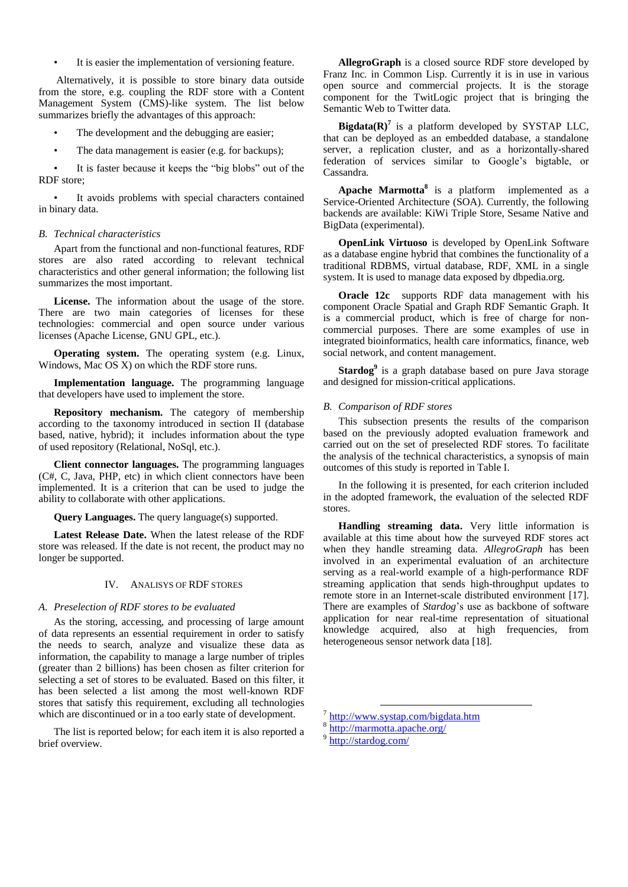It is easier the implementation of versioning feature.

Alternatively, it is possible to store binary data outside from the store, e.g. coupling the RDF store with a Content Management System (CMS)-like system. The list below summarizes briefly the advantages of this approach:

- The development and the debugging are easier;
- The data management is easier (e.g. for backups);

It is faster because it keeps the "big blobs" out of the RDF store;

It avoids problems with special characters contained in binary data.

#### *B. Technical characteristics*

Apart from the functional and non-functional features, RDF stores are also rated according to relevant technical characteristics and other general information; the following list summarizes the most important.

**License.** The information about the usage of the store. There are two main categories of licenses for these technologies: commercial and open source under various licenses (Apache License, GNU GPL, etc.).

**Operating system.** The operating system (e.g. Linux, Windows, Mac OS X) on which the RDF store runs.

**Implementation language.** The programming language that developers have used to implement the store.

**Repository mechanism.** The category of membership according to the taxonomy introduced in section II (database based, native, hybrid); it includes information about the type of used repository (Relational, NoSql, etc.).

**Client connector languages.** The programming languages (C#, C, Java, PHP, etc) in which client connectors have been implemented. It is a criterion that can be used to judge the ability to collaborate with other applications.

**Query Languages.** The query language(s) supported.

**Latest Release Date.** When the latest release of the RDF store was released. If the date is not recent, the product may no longer be supported.

## IV. ANALISYS OF RDF STORES

## *A. Preselection of RDF stores to be evaluated*

As the storing, accessing, and processing of large amount of data represents an essential requirement in order to satisfy the needs to search, analyze and visualize these data as information, the capability to manage a large number of triples (greater than 2 billions) has been chosen as filter criterion for selecting a set of stores to be evaluated. Based on this filter, it has been selected a list among the most well-known RDF stores that satisfy this requirement, excluding all technologies which are discontinued or in a too early state of development.

The list is reported below; for each item it is also reported a brief overview.

**AllegroGraph** is a closed source RDF store developed by Franz Inc. in Common Lisp. Currently it is in use in various open source and commercial projects. It is the storage component for the TwitLogic project that is bringing the Semantic Web to Twitter data.

**Bigdata(R)<sup>** $7$ **</sup>** is a platform developed by SYSTAP LLC, that can be deployed as an embedded database, a standalone server, a replication cluster, and as a horizontally-shared federation of services similar to Google's bigtable, or Cassandra.

**Apache Marmotta<sup>8</sup>** is a platform implemented as a Service-Oriented Architecture (SOA). Currently, the following backends are available: KiWi Triple Store, Sesame Native and BigData (experimental).

**OpenLink Virtuoso** is developed by OpenLink Software as a database engine hybrid that combines the functionality of a traditional RDBMS, virtual database, RDF, XML in a single system. It is used to manage data exposed by dbpedia.org.

**Oracle 12c** supports RDF data management with his component Oracle Spatial and Graph RDF Semantic Graph. It is a commercial product, which is free of charge for noncommercial purposes. There are some examples of use in integrated bioinformatics, health care informatics, finance, web social network, and content management.

**Stardog<sup>9</sup>** is a graph database based on pure Java storage and designed for mission-critical applications.

#### *B. Comparison of RDF stores*

This subsection presents the results of the comparison based on the previously adopted evaluation framework and carried out on the set of preselected RDF stores. To facilitate the analysis of the technical characteristics, a synopsis of main outcomes of this study is reported in Table I.

In the following it is presented, for each criterion included in the adopted framework, the evaluation of the selected RDF stores.

**Handling streaming data.** Very little information is available at this time about how the surveyed RDF stores act when they handle streaming data. *AllegroGraph* has been involved in an experimental evaluation of an architecture serving as a real-world example of a high-performance RDF streaming application that sends high-throughput updates to remote store in an Internet-scale distributed environment [17]. There are examples of *Stardog*'s use as backbone of software application for near real-time representation of situational knowledge acquired, also at high frequencies, from heterogeneous sensor network data [18].

1

<sup>7</sup> <http://www.systap.com/bigdata.htm>

<sup>&</sup>lt;sup>8</sup><br><http://marmotta.apache.org/>

<http://stardog.com/>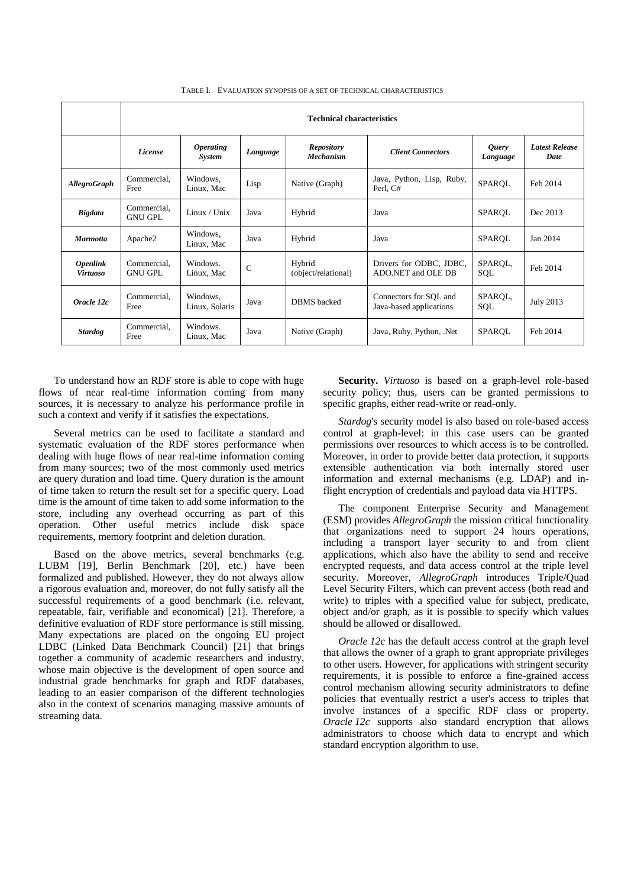|                                           | <b>Technical characteristics</b> |                                          |              |                                       |                                                   |                   |                    |
|-------------------------------------------|----------------------------------|------------------------------------------|--------------|---------------------------------------|---------------------------------------------------|-------------------|--------------------|
|                                           | License                          | <i><b>Operating</b></i><br><b>System</b> | Language     | <b>Repository</b><br><b>Mechanism</b> | <b>Client Connectors</b>                          | Query<br>Language | Latest Rei<br>Date |
| AllegroGraph                              | Commercial,<br>Free              | Windows,<br>Linux, Mac                   | Lisp         | Native (Graph)                        | Java, Python, Lisp, Ruby,<br>Perl, C#             | SPAROL            | Feb 2014           |
| <b>Bigdata</b>                            | Commercial,<br><b>GNU GPL</b>    | Linux / Unix                             | Java         | Hybrid                                | Java                                              | SPARQL            | Dec 2013           |
| <b>Marmotta</b>                           | Apache2                          | Windows,<br>Linux, Mac                   | Java         | Hybrid                                | Java                                              | SPAROL            | Jan 2014           |
| <i><b>Openlink</b></i><br><b>Virtuoso</b> | Commercial,<br><b>GNU GPL</b>    | Windows.<br>Linux, Mac                   | $\mathsf{C}$ | Hybrid<br>(object/relational)         | Drivers for ODBC, JDBC,<br>ADO.NET and OLE DB     | SPAROL,<br>SQL    | Feb 2014           |
| Oracle 12c                                | Commercial,<br>Free              | Windows,<br>Linux, Solaris               | Java         | <b>DBMS</b> backed                    | Connectors for SQL and<br>Java-based applications | SPAROL,<br>SQL    | <b>July 2013</b>   |

Windows. Java Native (Graph) Java, Ruby, Python, .Net SPARQL Feb 2014

TABLE I. EVALUATION SYNOPSIS OF A SET OF TECHNICAL CHARACTERISTICS

To understand how an RDF store is able to cope with huge flows of near real-time information coming from many sources, it is necessary to analyze his performance profile in such a context and verify if it satisfies the expectations.

Windows.

*Stardog* Commercial, Free

Several metrics can be used to facilitate a standard and systematic evaluation of the RDF stores performance when dealing with huge flows of near real-time information coming from many sources; two of the most commonly used metrics are query duration and load time. Query duration is the amount of time taken to return the result set for a specific query. Load time is the amount of time taken to add some information to the store, including any overhead occurring as part of this operation. Other useful metrics include disk space requirements, memory footprint and deletion duration.

Based on the above metrics, several benchmarks (e.g. LUBM [19], Berlin Benchmark [20], etc.) have been formalized and published. However, they do not always allow a rigorous evaluation and, moreover, do not fully satisfy all the successful requirements of a good benchmark (i.e. relevant, repeatable, fair, verifiable and economical) [21]. Therefore, a definitive evaluation of RDF store performance is still missing. Many expectations are placed on the ongoing EU project LDBC (Linked Data Benchmark Council) [21] that brings together a community of academic researchers and industry, whose main objective is the development of open source and industrial grade benchmarks for graph and RDF databases, leading to an easier comparison of the different technologies also in the context of scenarios managing massive amounts of streaming data.

**Security.** *Virtuoso* is based on a graph-level role-based security policy; thus, users can be granted permissions to specific graphs, either read-write or read-only.

*Latest Release* 

*Stardog*'s security model is also based on role-based access control at graph-level: in this case users can be granted permissions over resources to which access is to be controlled. Moreover, in order to provide better data protection, it supports extensible authentication via both internally stored user information and external mechanisms (e.g. LDAP) and inflight encryption of credentials and payload data via HTTPS.

The component Enterprise Security and Management (ESM) provides *AllegroGraph* the mission critical functionality that organizations need to support 24 hours operations, including a transport layer security to and from client applications, which also have the ability to send and receive encrypted requests, and data access control at the triple level security. Moreover, *AllegroGraph* introduces Triple/Quad Level Security Filters, which can prevent access (both read and write) to triples with a specified value for subject, predicate, object and/or graph, as it is possible to specify which values should be allowed or disallowed.

*Oracle 12c* has the default access control at the graph level that allows the owner of a graph to grant appropriate privileges to other users. However, for applications with stringent security requirements, it is possible to enforce a fine-grained access control mechanism allowing security administrators to define policies that eventually restrict a user's access to triples that involve instances of a specific RDF class or property. *Oracle 12c* supports also standard encryption that allows administrators to choose which data to encrypt and which standard encryption algorithm to use.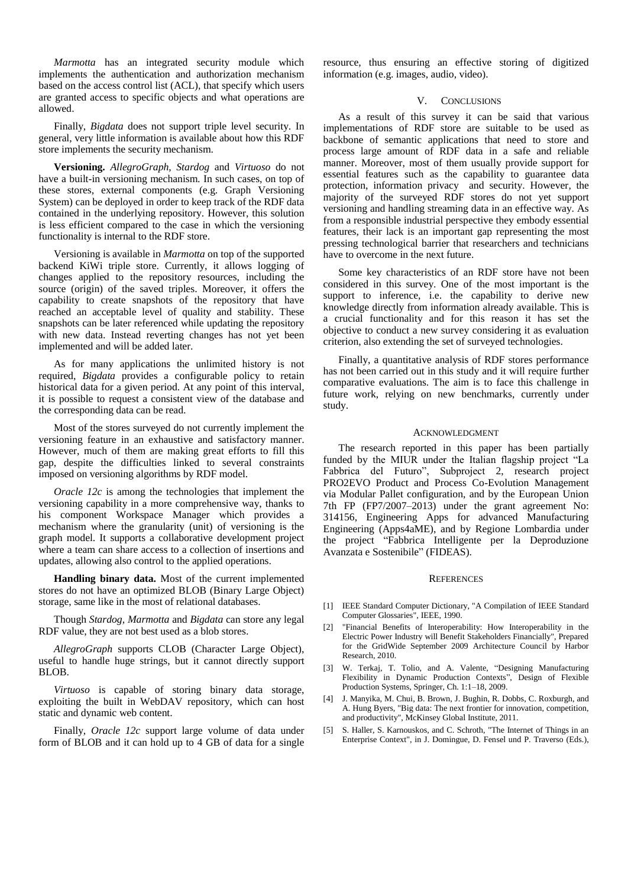*Marmotta* has an integrated security module which implements the authentication and authorization mechanism based on the access control list (ACL), that specify which users are granted access to specific objects and what operations are allowed.

Finally, *Bigdata* does not support triple level security. In general, very little information is available about how this RDF store implements the security mechanism.

**Versioning.** *AllegroGraph*, *Stardog* and *Virtuoso* do not have a built-in versioning mechanism. In such cases, on top of these stores, external components (e.g. Graph Versioning System) can be deployed in order to keep track of the RDF data contained in the underlying repository. However, this solution is less efficient compared to the case in which the versioning functionality is internal to the RDF store.

Versioning is available in *Marmotta* on top of the supported backend KiWi triple store. Currently, it allows logging of changes applied to the repository resources, including the source (origin) of the saved triples. Moreover, it offers the capability to create snapshots of the repository that have reached an acceptable level of quality and stability. These snapshots can be later referenced while updating the repository with new data. Instead reverting changes has not yet been implemented and will be added later.

As for many applications the unlimited history is not required, *Bigdata* provides a configurable policy to retain historical data for a given period. At any point of this interval, it is possible to request a consistent view of the database and the corresponding data can be read.

Most of the stores surveyed do not currently implement the versioning feature in an exhaustive and satisfactory manner. However, much of them are making great efforts to fill this gap, despite the difficulties linked to several constraints imposed on versioning algorithms by RDF model.

*Oracle 12c* is among the technologies that implement the versioning capability in a more comprehensive way, thanks to his component Workspace Manager which provides a mechanism where the granularity (unit) of versioning is the graph model. It supports a collaborative development project where a team can share access to a collection of insertions and updates, allowing also control to the applied operations.

**Handling binary data.** Most of the current implemented stores do not have an optimized BLOB (Binary Large Object) storage, same like in the most of relational databases.

Though *Stardog*, *Marmotta* and *Bigdata* can store any legal RDF value, they are not best used as a blob stores.

*AllegroGraph* supports CLOB (Character Large Object), useful to handle huge strings, but it cannot directly support BLOB.

*Virtuoso* is capable of storing binary data storage, exploiting the built in WebDAV repository, which can host static and dynamic web content.

Finally, *Oracle 12c* support large volume of data under form of BLOB and it can hold up to 4 GB of data for a single resource, thus ensuring an effective storing of digitized information (e.g. images, audio, video).

#### V. CONCLUSIONS

As a result of this survey it can be said that various implementations of RDF store are suitable to be used as backbone of semantic applications that need to store and process large amount of RDF data in a safe and reliable manner. Moreover, most of them usually provide support for essential features such as the capability to guarantee data protection, information privacy and security. However, the majority of the surveyed RDF stores do not yet support versioning and handling streaming data in an effective way. As from a responsible industrial perspective they embody essential features, their lack is an important gap representing the most pressing technological barrier that researchers and technicians have to overcome in the next future.

Some key characteristics of an RDF store have not been considered in this survey. One of the most important is the support to inference, i.e. the capability to derive new knowledge directly from information already available. This is a crucial functionality and for this reason it has set the objective to conduct a new survey considering it as evaluation criterion, also extending the set of surveyed technologies.

Finally, a quantitative analysis of RDF stores performance has not been carried out in this study and it will require further comparative evaluations. The aim is to face this challenge in future work, relying on new benchmarks, currently under study.

#### ACKNOWLEDGMENT

The research reported in this paper has been partially funded by the MIUR under the Italian flagship project "La Fabbrica del Futuro", Subproject 2, research project PRO2EVO Product and Process Co-Evolution Management via Modular Pallet configuration, and by the European Union 7th FP (FP7/2007–2013) under the grant agreement No: 314156, Engineering Apps for advanced Manufacturing Engineering (Apps4aME), and by Regione Lombardia under the project "Fabbrica Intelligente per la Deproduzione Avanzata e Sostenibile" (FIDEAS).

#### **REFERENCES**

- [1] IEEE Standard Computer Dictionary, "A Compilation of IEEE Standard Computer Glossaries", IEEE, 1990.
- [2] "Financial Benefits of Interoperability: How Interoperability in the Electric Power Industry will Benefit Stakeholders Financially", Prepared for the GridWide September 2009 Architecture Council by Harbor Research, 2010.
- [3] W. Terkaj, T. Tolio, and A. Valente, "Designing Manufacturing Flexibility in Dynamic Production Contexts", Design of Flexible Production Systems, Springer, Ch. 1:1–18, 2009.
- [4] J. Manyika, M. Chui, B. Brown, J. Bughin, R. Dobbs, C. Roxburgh, and A. Hung Byers, "Big data: The next frontier for innovation, competition, and productivity", McKinsey Global Institute, 2011.
- [5] S. Haller, S. Karnouskos, and C. Schroth, "The Internet of Things in an Enterprise Context", in J. Domingue, D. Fensel und P. Traverso (Eds.),